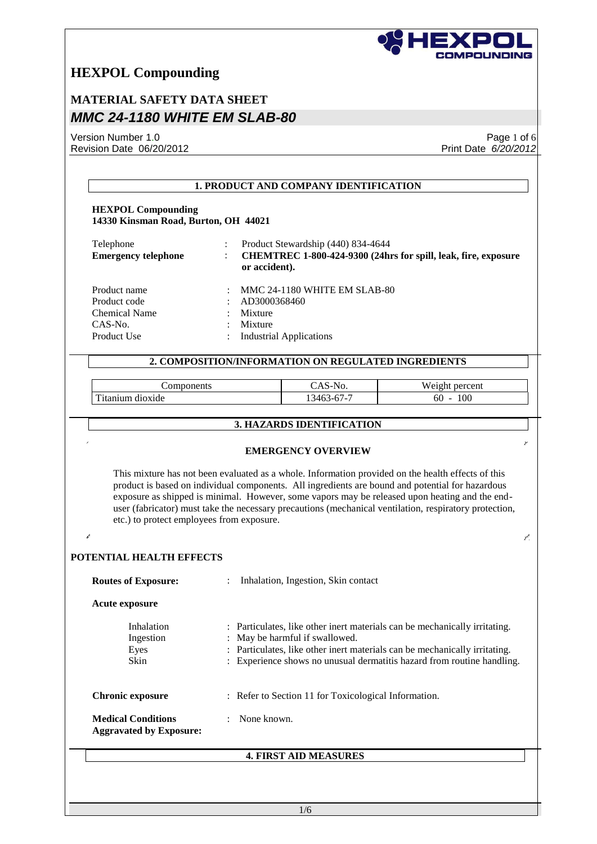

## **MATERIAL SAFETY DATA SHEET** *MMC 24-1180 WHITE EM SLAB-80*

Version Number 1.0 Revision Date 06/20/2012

Page 1 of 6 Print Date *6/20/2012*

|                                                                                |                                    | 1. PRODUCT AND COMPANY IDENTIFICATION                                                                                 |                                                                                                                                                                                                                                                                                                                                                                                                                    |
|--------------------------------------------------------------------------------|------------------------------------|-----------------------------------------------------------------------------------------------------------------------|--------------------------------------------------------------------------------------------------------------------------------------------------------------------------------------------------------------------------------------------------------------------------------------------------------------------------------------------------------------------------------------------------------------------|
| <b>HEXPOL Compounding</b><br>14330 Kinsman Road, Burton, OH 44021              |                                    |                                                                                                                       |                                                                                                                                                                                                                                                                                                                                                                                                                    |
| Telephone<br><b>Emergency telephone</b>                                        | or accident).                      | Product Stewardship (440) 834-4644                                                                                    | CHEMTREC 1-800-424-9300 (24hrs for spill, leak, fire, exposure                                                                                                                                                                                                                                                                                                                                                     |
| Product name<br>Product code<br><b>Chemical Name</b><br>CAS-No.<br>Product Use | AD3000368460<br>Mixture<br>Mixture | MMC 24-1180 WHITE EM SLAB-80<br><b>Industrial Applications</b><br>2. COMPOSITION/INFORMATION ON REGULATED INGREDIENTS |                                                                                                                                                                                                                                                                                                                                                                                                                    |
|                                                                                |                                    |                                                                                                                       |                                                                                                                                                                                                                                                                                                                                                                                                                    |
| Components                                                                     |                                    | CAS-No.                                                                                                               | Weight percent                                                                                                                                                                                                                                                                                                                                                                                                     |
| Titanium dioxide                                                               |                                    | 13463-67-7                                                                                                            | $60 - 100$                                                                                                                                                                                                                                                                                                                                                                                                         |
|                                                                                |                                    | 3. HAZARDS IDENTIFICATION                                                                                             |                                                                                                                                                                                                                                                                                                                                                                                                                    |
|                                                                                |                                    | <b>EMERGENCY OVERVIEW</b>                                                                                             | This mixture has not been evaluated as a whole. Information provided on the health effects of this<br>product is based on individual components. All ingredients are bound and potential for hazardous<br>exposure as shipped is minimal. However, some vapors may be released upon heating and the end-<br>user (fabricator) must take the necessary precautions (mechanical ventilation, respiratory protection, |
| etc.) to protect employees from exposure.<br>POTENTIAL HEALTH EFFECTS          |                                    |                                                                                                                       |                                                                                                                                                                                                                                                                                                                                                                                                                    |
| <b>Routes of Exposure:</b>                                                     | $\ddot{\cdot}$                     | Inhalation, Ingestion, Skin contact                                                                                   |                                                                                                                                                                                                                                                                                                                                                                                                                    |
| <b>Acute exposure</b>                                                          |                                    |                                                                                                                       |                                                                                                                                                                                                                                                                                                                                                                                                                    |
| Inhalation<br>Ingestion<br>Eyes<br>Skin                                        |                                    | May be harmful if swallowed.                                                                                          | : Particulates, like other inert materials can be mechanically irritating.<br>Particulates, like other inert materials can be mechanically irritating.<br>Experience shows no unusual dermatitis hazard from routine handling.                                                                                                                                                                                     |
| <b>Chronic exposure</b>                                                        |                                    | : Refer to Section 11 for Toxicological Information.                                                                  |                                                                                                                                                                                                                                                                                                                                                                                                                    |
| <b>Medical Conditions</b><br><b>Aggravated by Exposure:</b>                    | None known.                        |                                                                                                                       |                                                                                                                                                                                                                                                                                                                                                                                                                    |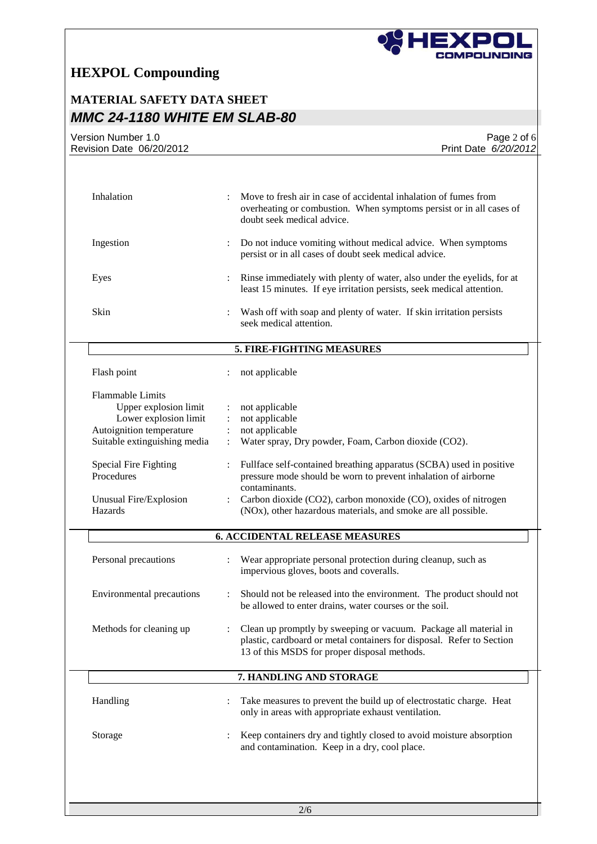

## **MATERIAL SAFETY DATA SHEET** *MMC 24-1180 WHITE EM SLAB-80*

| Version Number 1.0<br>Revision Date 06/20/2012 | Page 2 of 6<br>Print Date 6/20/2012                                                                                                                                                       |
|------------------------------------------------|-------------------------------------------------------------------------------------------------------------------------------------------------------------------------------------------|
|                                                |                                                                                                                                                                                           |
| Inhalation                                     | Move to fresh air in case of accidental inhalation of fumes from<br>overheating or combustion. When symptoms persist or in all cases of<br>doubt seek medical advice.                     |
| Ingestion                                      | Do not induce vomiting without medical advice. When symptoms<br>persist or in all cases of doubt seek medical advice.                                                                     |
| Eyes                                           | Rinse immediately with plenty of water, also under the eyelids, for at<br>least 15 minutes. If eye irritation persists, seek medical attention.                                           |
| Skin                                           | Wash off with soap and plenty of water. If skin irritation persists<br>seek medical attention.                                                                                            |
|                                                | 5. FIRE-FIGHTING MEASURES                                                                                                                                                                 |
| Flash point                                    | not applicable                                                                                                                                                                            |
| <b>Flammable Limits</b>                        |                                                                                                                                                                                           |
| Upper explosion limit                          | not applicable                                                                                                                                                                            |
| Lower explosion limit                          | not applicable                                                                                                                                                                            |
| Autoignition temperature                       | not applicable                                                                                                                                                                            |
| Suitable extinguishing media                   | Water spray, Dry powder, Foam, Carbon dioxide (CO2).                                                                                                                                      |
| Special Fire Fighting<br>Procedures            | Fullface self-contained breathing apparatus (SCBA) used in positive<br>pressure mode should be worn to prevent inhalation of airborne                                                     |
|                                                | contaminants.                                                                                                                                                                             |
| Unusual Fire/Explosion<br>Hazards              | Carbon dioxide (CO2), carbon monoxide (CO), oxides of nitrogen<br>(NOx), other hazardous materials, and smoke are all possible.                                                           |
|                                                | <b>6. ACCIDENTAL RELEASE MEASURES</b>                                                                                                                                                     |
| Personal precautions                           | Wear appropriate personal protection during cleanup, such as<br>impervious gloves, boots and coveralls.                                                                                   |
| <b>Environmental precautions</b>               | Should not be released into the environment. The product should not<br>be allowed to enter drains, water courses or the soil.                                                             |
| Methods for cleaning up                        | Clean up promptly by sweeping or vacuum. Package all material in<br>plastic, cardboard or metal containers for disposal. Refer to Section<br>13 of this MSDS for proper disposal methods. |
|                                                | 7. HANDLING AND STORAGE                                                                                                                                                                   |
| Handling                                       | Take measures to prevent the build up of electrostatic charge. Heat<br>only in areas with appropriate exhaust ventilation.                                                                |
| Storage                                        | Keep containers dry and tightly closed to avoid moisture absorption<br>and contamination. Keep in a dry, cool place.                                                                      |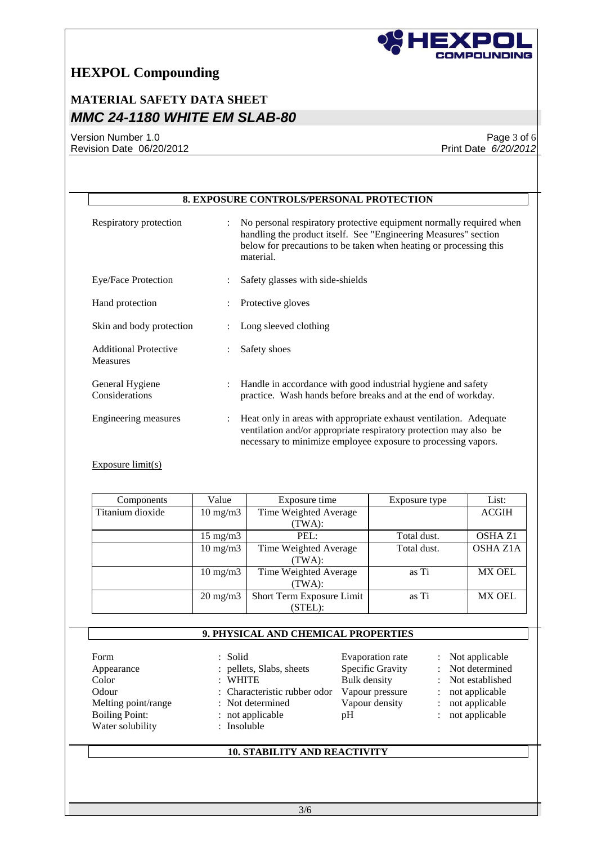

## **MATERIAL SAFETY DATA SHEET** *MMC 24-1180 WHITE EM SLAB-80*

Version Number 1.0 Revision Date 06/20/2012

Page 3 of 6 Print Date *6/20/2012*

|                                                                                                          |                                                                                                                                                                                                                           | 8. EXPOSURE CONTROLS/PERSONAL PROTECTION                                                                                                                                                                                 |                                                                                                  |                                                                                                           |  |  |  |
|----------------------------------------------------------------------------------------------------------|---------------------------------------------------------------------------------------------------------------------------------------------------------------------------------------------------------------------------|--------------------------------------------------------------------------------------------------------------------------------------------------------------------------------------------------------------------------|--------------------------------------------------------------------------------------------------|-----------------------------------------------------------------------------------------------------------|--|--|--|
| Respiratory protection                                                                                   | $\ddot{\phantom{a}}$                                                                                                                                                                                                      | No personal respiratory protective equipment normally required when<br>handling the product itself. See "Engineering Measures" section<br>below for precautions to be taken when heating or processing this<br>material. |                                                                                                  |                                                                                                           |  |  |  |
| Eye/Face Protection                                                                                      |                                                                                                                                                                                                                           | Safety glasses with side-shields                                                                                                                                                                                         |                                                                                                  |                                                                                                           |  |  |  |
| Hand protection                                                                                          |                                                                                                                                                                                                                           | Protective gloves                                                                                                                                                                                                        |                                                                                                  |                                                                                                           |  |  |  |
| Skin and body protection                                                                                 |                                                                                                                                                                                                                           | Long sleeved clothing                                                                                                                                                                                                    |                                                                                                  |                                                                                                           |  |  |  |
| <b>Additional Protective</b><br>Measures                                                                 |                                                                                                                                                                                                                           | Safety shoes                                                                                                                                                                                                             |                                                                                                  |                                                                                                           |  |  |  |
| General Hygiene<br>Considerations                                                                        | $\ddot{\phantom{a}}$                                                                                                                                                                                                      | Handle in accordance with good industrial hygiene and safety<br>practice. Wash hands before breaks and at the end of workday.                                                                                            |                                                                                                  |                                                                                                           |  |  |  |
| Engineering measures                                                                                     | Heat only in areas with appropriate exhaust ventilation. Adequate<br>$\ddot{\cdot}$<br>ventilation and/or appropriate respiratory protection may also be<br>necessary to minimize employee exposure to processing vapors. |                                                                                                                                                                                                                          |                                                                                                  |                                                                                                           |  |  |  |
| Exposure $limit(s)$                                                                                      |                                                                                                                                                                                                                           |                                                                                                                                                                                                                          |                                                                                                  |                                                                                                           |  |  |  |
|                                                                                                          |                                                                                                                                                                                                                           |                                                                                                                                                                                                                          |                                                                                                  |                                                                                                           |  |  |  |
| Components                                                                                               | Value                                                                                                                                                                                                                     | Exposure time                                                                                                                                                                                                            | Exposure type                                                                                    | List:                                                                                                     |  |  |  |
| Titanium dioxide                                                                                         | $10 \text{ mg/m}$                                                                                                                                                                                                         | Time Weighted Average<br>(TWA):                                                                                                                                                                                          |                                                                                                  | <b>ACGIH</b>                                                                                              |  |  |  |
|                                                                                                          | $15$ mg/m $3$                                                                                                                                                                                                             | PEL:                                                                                                                                                                                                                     | Total dust.                                                                                      | OSHA Z1                                                                                                   |  |  |  |
|                                                                                                          | $10 \text{ mg/m}$                                                                                                                                                                                                         | Time Weighted Average<br>(TWA):                                                                                                                                                                                          | Total dust.                                                                                      |                                                                                                           |  |  |  |
|                                                                                                          | $10$ mg/m $3$                                                                                                                                                                                                             | Time Weighted Average<br>(TWA):                                                                                                                                                                                          | as Ti                                                                                            | <b>MX OEL</b>                                                                                             |  |  |  |
|                                                                                                          | $20 \text{ mg/m}$                                                                                                                                                                                                         | Short Term Exposure Limit<br>(STEL):                                                                                                                                                                                     | as Ti                                                                                            |                                                                                                           |  |  |  |
|                                                                                                          |                                                                                                                                                                                                                           | 9. PHYSICAL AND CHEMICAL PROPERTIES                                                                                                                                                                                      |                                                                                                  | <b>OSHA Z1A</b><br><b>MX OEL</b>                                                                          |  |  |  |
| Form<br>Appearance<br>Color<br>Odour<br>Melting point/range<br><b>Boiling Point:</b><br>Water solubility | Solid<br><b>WHITE</b><br>: Insoluble                                                                                                                                                                                      | pellets, Slabs, sheets<br>Characteristic rubber odor<br>Not determined<br>not applicable<br>pH                                                                                                                           | Evaporation rate<br>Specific Gravity<br><b>Bulk</b> density<br>Vapour pressure<br>Vapour density | Not applicable<br>Not determined<br>Not established<br>not applicable<br>not applicable<br>not applicable |  |  |  |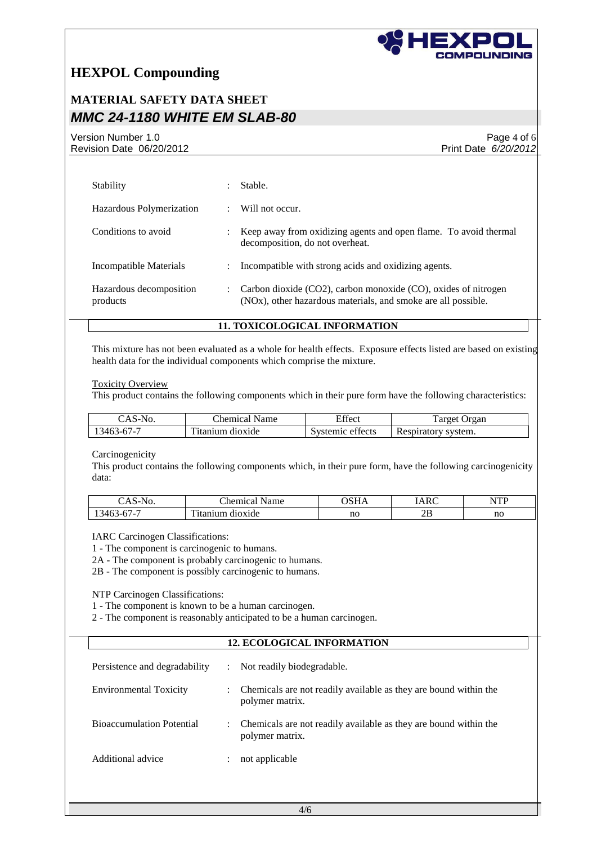

### **MATERIAL SAFETY DATA SHEET** *MMC 24-1180 WHITE EM SLAB-80*

Version Number 1.0 Revision Date 06/20/2012

Page 4 of 6 Print Date *6/20/2012*

| Stability                           |   | Stable.                                                                                                                                      |
|-------------------------------------|---|----------------------------------------------------------------------------------------------------------------------------------------------|
| Hazardous Polymerization            |   | Will not occur.                                                                                                                              |
| Conditions to avoid                 |   | Keep away from oxidizing agents and open flame. To avoid thermal<br>decomposition, do not overheat.                                          |
| Incompatible Materials              | ÷ | Incompatible with strong acids and oxidizing agents.                                                                                         |
| Hazardous decomposition<br>products |   | Carbon dioxide (CO2), carbon monoxide (CO), oxides of nitrogen<br>(NO <sub>x</sub> ), other hazardous materials, and smoke are all possible. |

#### **11. TOXICOLOGICAL INFORMATION**

This mixture has not been evaluated as a whole for health effects. Exposure effects listed are based on existing health data for the individual components which comprise the mixture.

Toxicity Overview

This product contains the following components which in their pure form have the following characteristics:

| $\mathcal{S}$ AS-N | hemical.        | $\sim$ $\sim$       | arget                    |
|--------------------|-----------------|---------------------|--------------------------|
| No.                | Name            | Effect              | Organ                    |
| $.3463 - 67 - 7$   | ttanium dioxide | effects<br>Systemic | Respiratory<br>' system. |

Carcinogenicity

This product contains the following components which, in their pure form, have the following carcinogenicity data:

| $\sim$<br>INO.<br>AS-            | <b>CHI</b><br>`hemical<br>Name | <b>NOTT</b> | <b>IARC</b> | <b>ITT</b><br>N<br>. . |
|----------------------------------|--------------------------------|-------------|-------------|------------------------|
| .140<br>$.5 - F$<br>$\mathbf{1}$ | $\sim$<br>dioxide<br>unium     | no          | דר<br>∠     | no                     |

IARC Carcinogen Classifications:

1 - The component is carcinogenic to humans.

2A - The component is probably carcinogenic to humans.

2B - The component is possibly carcinogenic to humans.

NTP Carcinogen Classifications:

1 - The component is known to be a human carcinogen.

2 - The component is reasonably anticipated to be a human carcinogen.

#### **12. ECOLOGICAL INFORMATION**

| Persistence and degradability    | $\mathbb{R}^{\mathbb{Z}}$ | Not readily biodegradable.                                                          |
|----------------------------------|---------------------------|-------------------------------------------------------------------------------------|
| <b>Environmental Toxicity</b>    |                           | Chemicals are not readily available as they are bound within the<br>polymer matrix. |
| <b>Bioaccumulation Potential</b> |                           | Chemicals are not readily available as they are bound within the<br>polymer matrix. |
| Additional advice                | $\ddot{\phantom{a}}$      | not applicable                                                                      |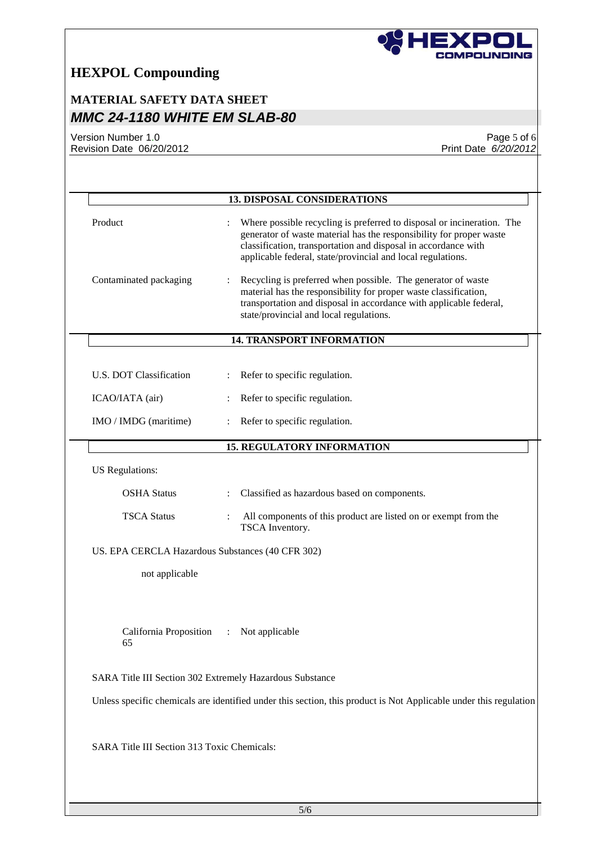

## **MATERIAL SAFETY DATA SHEET** *MMC 24-1180 WHITE EM SLAB-80*

Version Number 1.0 Revision Date 06/20/2012

Page 5 of 6 Print Date *6/20/2012*

|                                                  | <b>13. DISPOSAL CONSIDERATIONS</b>                                                                                                    |
|--------------------------------------------------|---------------------------------------------------------------------------------------------------------------------------------------|
|                                                  |                                                                                                                                       |
| Product                                          | Where possible recycling is preferred to disposal or incineration. The<br>$\ddot{\cdot}$                                              |
|                                                  | generator of waste material has the responsibility for proper waste<br>classification, transportation and disposal in accordance with |
|                                                  | applicable federal, state/provincial and local regulations.                                                                           |
|                                                  |                                                                                                                                       |
| Contaminated packaging                           | Recycling is preferred when possible. The generator of waste<br>material has the responsibility for proper waste classification,      |
|                                                  | transportation and disposal in accordance with applicable federal,                                                                    |
|                                                  | state/provincial and local regulations.                                                                                               |
|                                                  | <b>14. TRANSPORT INFORMATION</b>                                                                                                      |
|                                                  |                                                                                                                                       |
| U.S. DOT Classification                          | Refer to specific regulation.                                                                                                         |
|                                                  |                                                                                                                                       |
| ICAO/IATA (air)                                  | Refer to specific regulation.                                                                                                         |
| IMO / IMDG (maritime)                            | Refer to specific regulation.                                                                                                         |
|                                                  | <b>15. REGULATORY INFORMATION</b>                                                                                                     |
| US Regulations:                                  |                                                                                                                                       |
| <b>OSHA Status</b>                               | Classified as hazardous based on components.                                                                                          |
|                                                  |                                                                                                                                       |
| <b>TSCA Status</b>                               | All components of this product are listed on or exempt from the<br>TSCA Inventory.                                                    |
| US. EPA CERCLA Hazardous Substances (40 CFR 302) |                                                                                                                                       |
| not applicable                                   |                                                                                                                                       |
|                                                  |                                                                                                                                       |
|                                                  |                                                                                                                                       |
| California Proposition<br>65                     | Not applicable<br>$\ddot{\cdot}$                                                                                                      |
|                                                  | SARA Title III Section 302 Extremely Hazardous Substance                                                                              |
|                                                  | Unless specific chemicals are identified under this section, this product is Not Applicable under this regulation                     |
|                                                  |                                                                                                                                       |
| SARA Title III Section 313 Toxic Chemicals:      |                                                                                                                                       |
|                                                  |                                                                                                                                       |